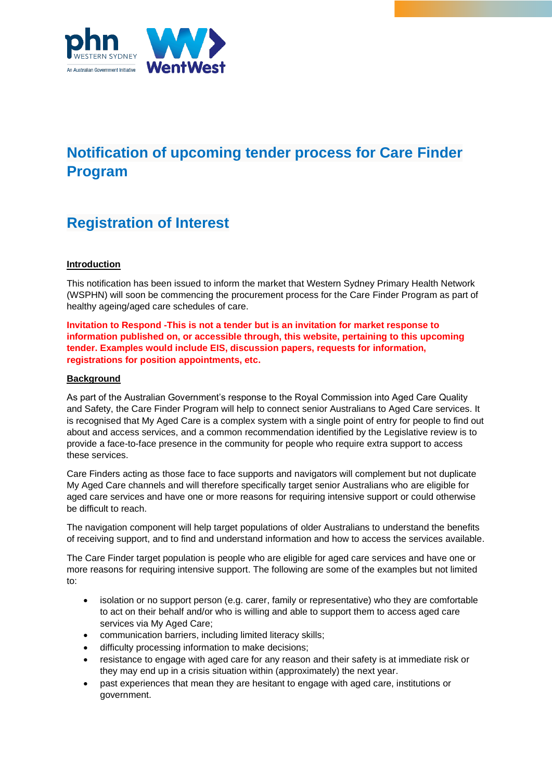

# **Notification of upcoming tender process for Care Finder Program**

# **Registration of Interest**

## **Introduction**

This notification has been issued to inform the market that Western Sydney Primary Health Network (WSPHN) will soon be commencing the procurement process for the Care Finder Program as part of healthy ageing/aged care schedules of care.

**Invitation to Respond -This is not a tender but is an invitation for market response to information published on, or accessible through, this website, pertaining to this upcoming tender. Examples would include EIS, discussion papers, requests for information, registrations for position appointments, etc.**

### **Background**

As part of the Australian Government's response to the Royal Commission into Aged Care Quality and Safety, the Care Finder Program will help to connect senior Australians to Aged Care services. It is recognised that My Aged Care is a complex system with a single point of entry for people to find out about and access services, and a common recommendation identified by the Legislative review is to provide a face-to-face presence in the community for people who require extra support to access these services.

Care Finders acting as those face to face supports and navigators will complement but not duplicate My Aged Care channels and will therefore specifically target senior Australians who are eligible for aged care services and have one or more reasons for requiring intensive support or could otherwise be difficult to reach.

The navigation component will help target populations of older Australians to understand the benefits of receiving support, and to find and understand information and how to access the services available.

The Care Finder target population is people who are eligible for aged care services and have one or more reasons for requiring intensive support. The following are some of the examples but not limited to:

- isolation or no support person (e.g. carer, family or representative) who they are comfortable to act on their behalf and/or who is willing and able to support them to access aged care services via My Aged Care;
- communication barriers, including limited literacy skills;
- difficulty processing information to make decisions;
- resistance to engage with aged care for any reason and their safety is at immediate risk or they may end up in a crisis situation within (approximately) the next year.
- past experiences that mean they are hesitant to engage with aged care, institutions or government.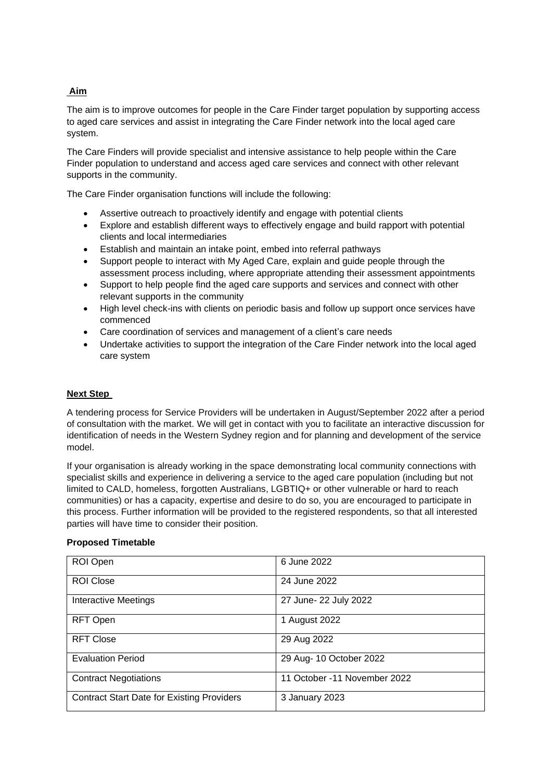## **Aim**

The aim is to improve outcomes for people in the Care Finder target population by supporting access to aged care services and assist in integrating the Care Finder network into the local aged care system.

The Care Finders will provide specialist and intensive assistance to help people within the Care Finder population to understand and access aged care services and connect with other relevant supports in the community.

The Care Finder organisation functions will include the following:

- Assertive outreach to proactively identify and engage with potential clients
- Explore and establish different ways to effectively engage and build rapport with potential clients and local intermediaries
- Establish and maintain an intake point, embed into referral pathways
- Support people to interact with My Aged Care, explain and guide people through the assessment process including, where appropriate attending their assessment appointments
- Support to help people find the aged care supports and services and connect with other relevant supports in the community
- High level check-ins with clients on periodic basis and follow up support once services have commenced
- Care coordination of services and management of a client's care needs
- Undertake activities to support the integration of the Care Finder network into the local aged care system

### **Next Step**

A tendering process for Service Providers will be undertaken in August/September 2022 after a period of consultation with the market. We will get in contact with you to facilitate an interactive discussion for identification of needs in the Western Sydney region and for planning and development of the service model.

If your organisation is already working in the space demonstrating local community connections with specialist skills and experience in delivering a service to the aged care population (including but not limited to CALD, homeless, forgotten Australians, LGBTIQ+ or other vulnerable or hard to reach communities) or has a capacity, expertise and desire to do so, you are encouraged to participate in this process. Further information will be provided to the registered respondents, so that all interested parties will have time to consider their position.

| ROI Open                                          | 6 June 2022                  |
|---------------------------------------------------|------------------------------|
| <b>ROI Close</b>                                  | 24 June 2022                 |
| <b>Interactive Meetings</b>                       | 27 June- 22 July 2022        |
| RFT Open                                          | 1 August 2022                |
| <b>RFT Close</b>                                  | 29 Aug 2022                  |
| <b>Evaluation Period</b>                          | 29 Aug- 10 October 2022      |
| <b>Contract Negotiations</b>                      | 11 October -11 November 2022 |
| <b>Contract Start Date for Existing Providers</b> | 3 January 2023               |

## **Proposed Timetable**